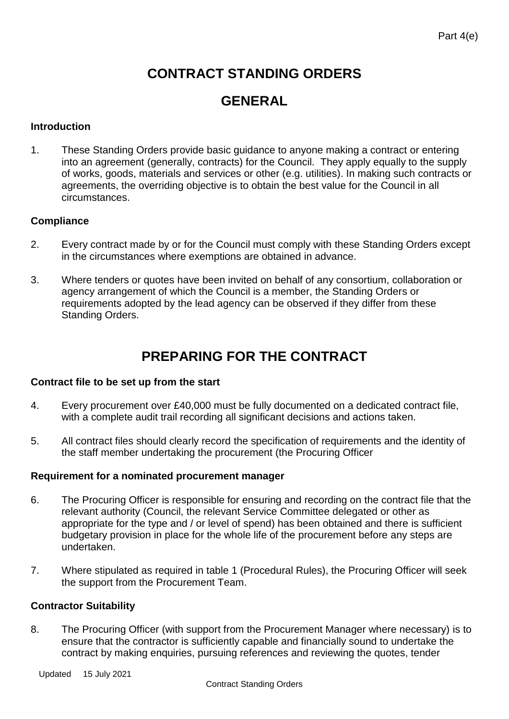# **CONTRACT STANDING ORDERS**

# **GENERAL**

# **Introduction**

1. These Standing Orders provide basic guidance to anyone making a contract or entering into an agreement (generally, contracts) for the Council. They apply equally to the supply of works, goods, materials and services or other (e.g. utilities). In making such contracts or agreements, the overriding objective is to obtain the best value for the Council in all circumstances.

# **Compliance**

- 2. Every contract made by or for the Council must comply with these Standing Orders except in the circumstances where exemptions are obtained in advance.
- 3. Where tenders or quotes have been invited on behalf of any consortium, collaboration or agency arrangement of which the Council is a member, the Standing Orders or requirements adopted by the lead agency can be observed if they differ from these Standing Orders.

# **PREPARING FOR THE CONTRACT**

## **Contract file to be set up from the start**

- 4. Every procurement over £40,000 must be fully documented on a dedicated contract file, with a complete audit trail recording all significant decisions and actions taken.
- 5. All contract files should clearly record the specification of requirements and the identity of the staff member undertaking the procurement (the Procuring Officer

## **Requirement for a nominated procurement manager**

- 6. The Procuring Officer is responsible for ensuring and recording on the contract file that the relevant authority (Council, the relevant Service Committee delegated or other as appropriate for the type and / or level of spend) has been obtained and there is sufficient budgetary provision in place for the whole life of the procurement before any steps are undertaken.
- 7. Where stipulated as required in table 1 (Procedural Rules), the Procuring Officer will seek the support from the Procurement Team.

# **Contractor Suitability**

8. The Procuring Officer (with support from the Procurement Manager where necessary) is to ensure that the contractor is sufficiently capable and financially sound to undertake the contract by making enquiries, pursuing references and reviewing the quotes, tender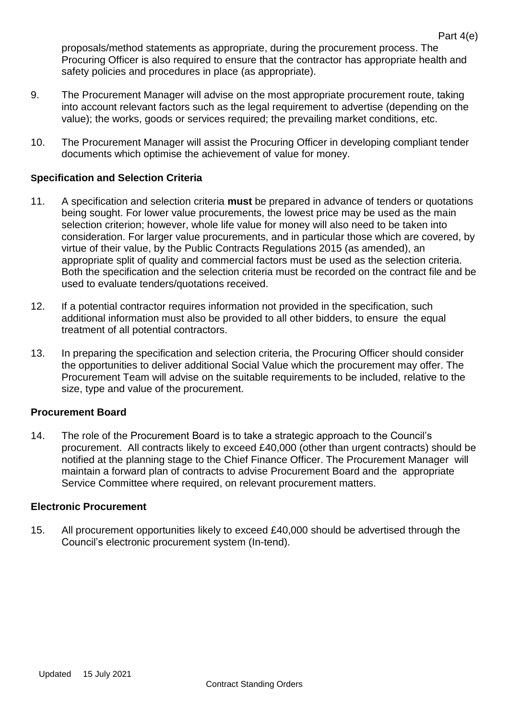proposals/method statements as appropriate, during the procurement process. The Procuring Officer is also required to ensure that the contractor has appropriate health and safety policies and procedures in place (as appropriate).

- 9. The Procurement Manager will advise on the most appropriate procurement route, taking into account relevant factors such as the legal requirement to advertise (depending on the value); the works, goods or services required; the prevailing market conditions, etc.
- 10. The Procurement Manager will assist the Procuring Officer in developing compliant tender documents which optimise the achievement of value for money.

# **Specification and Selection Criteria**

- 11. A specification and selection criteria **must** be prepared in advance of tenders or quotations being sought. For lower value procurements, the lowest price may be used as the main selection criterion; however, whole life value for money will also need to be taken into consideration. For larger value procurements, and in particular those which are covered, by virtue of their value, by the Public Contracts Regulations 2015 (as amended), an appropriate split of quality and commercial factors must be used as the selection criteria. Both the specification and the selection criteria must be recorded on the contract file and be used to evaluate tenders/quotations received.
- 12. If a potential contractor requires information not provided in the specification, such additional information must also be provided to all other bidders, to ensure the equal treatment of all potential contractors.
- 13. In preparing the specification and selection criteria, the Procuring Officer should consider the opportunities to deliver additional Social Value which the procurement may offer. The Procurement Team will advise on the suitable requirements to be included, relative to the size, type and value of the procurement.

## **Procurement Board**

14. The role of the Procurement Board is to take a strategic approach to the Council's procurement. All contracts likely to exceed £40,000 (other than urgent contracts) should be notified at the planning stage to the Chief Finance Officer. The Procurement Manager will maintain a forward plan of contracts to advise Procurement Board and the appropriate Service Committee where required, on relevant procurement matters.

#### **Electronic Procurement**

15. All procurement opportunities likely to exceed £40,000 should be advertised through the Council's electronic procurement system (In-tend).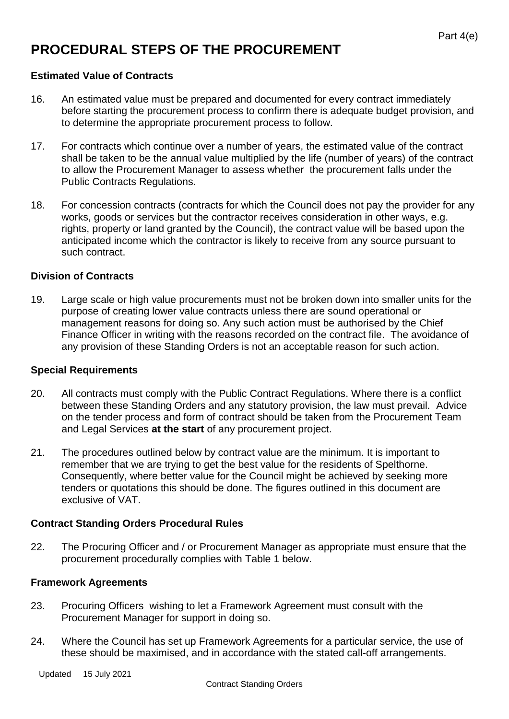# **PROCEDURAL STEPS OF THE PROCUREMENT**

## **Estimated Value of Contracts**

- 16. An estimated value must be prepared and documented for every contract immediately before starting the procurement process to confirm there is adequate budget provision, and to determine the appropriate procurement process to follow.
- 17. For contracts which continue over a number of years, the estimated value of the contract shall be taken to be the annual value multiplied by the life (number of years) of the contract to allow the Procurement Manager to assess whether the procurement falls under the Public Contracts Regulations.
- 18. For concession contracts (contracts for which the Council does not pay the provider for any works, goods or services but the contractor receives consideration in other ways, e.g. rights, property or land granted by the Council), the contract value will be based upon the anticipated income which the contractor is likely to receive from any source pursuant to such contract.

# **Division of Contracts**

19. Large scale or high value procurements must not be broken down into smaller units for the purpose of creating lower value contracts unless there are sound operational or management reasons for doing so. Any such action must be authorised by the Chief Finance Officer in writing with the reasons recorded on the contract file. The avoidance of any provision of these Standing Orders is not an acceptable reason for such action.

## **Special Requirements**

- 20. All contracts must comply with the Public Contract Regulations. Where there is a conflict between these Standing Orders and any statutory provision, the law must prevail. Advice on the tender process and form of contract should be taken from the Procurement Team and Legal Services **at the start** of any procurement project.
- 21. The procedures outlined below by contract value are the minimum. It is important to remember that we are trying to get the best value for the residents of Spelthorne. Consequently, where better value for the Council might be achieved by seeking more tenders or quotations this should be done. The figures outlined in this document are exclusive of VAT.

# **Contract Standing Orders Procedural Rules**

22. The Procuring Officer and / or Procurement Manager as appropriate must ensure that the procurement procedurally complies with Table 1 below.

## **Framework Agreements**

- 23. Procuring Officers wishing to let a Framework Agreement must consult with the Procurement Manager for support in doing so.
- 24. Where the Council has set up Framework Agreements for a particular service, the use of these should be maximised, and in accordance with the stated call-off arrangements.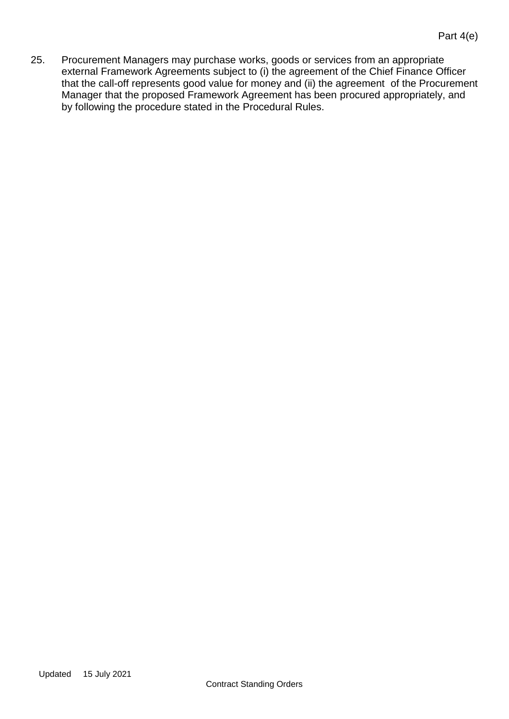25. Procurement Managers may purchase works, goods or services from an appropriate external Framework Agreements subject to (i) the agreement of the Chief Finance Officer that the call-off represents good value for money and (ii) the agreement of the Procurement Manager that the proposed Framework Agreement has been procured appropriately, and by following the procedure stated in the Procedural Rules.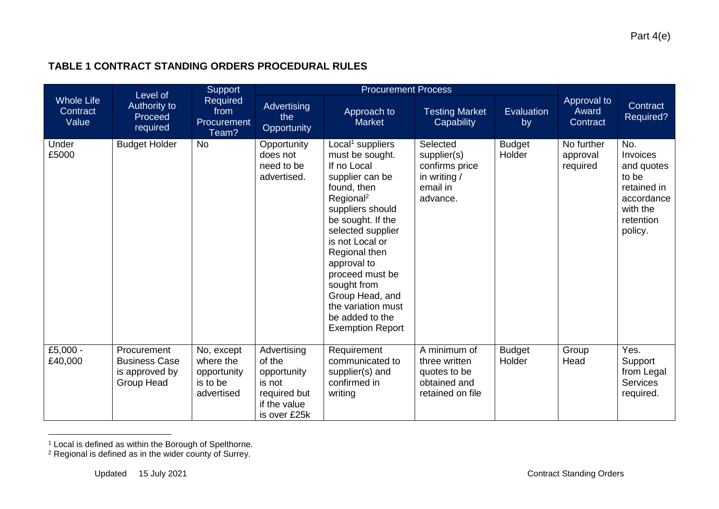# **TABLE 1 CONTRACT STANDING ORDERS PROCEDURAL RULES**

| <b>Whole Life</b><br>Contract<br>Value | Level of<br>Authority to<br>Proceed<br>required                     | Support<br>Required<br>from<br>Procurement<br>Team?              | <b>Procurement Process</b>                                                                     |                                                                                                                                                                                                                                                                                                                                                                     |                                                                                   |                         |                                    |                                                                                                         |
|----------------------------------------|---------------------------------------------------------------------|------------------------------------------------------------------|------------------------------------------------------------------------------------------------|---------------------------------------------------------------------------------------------------------------------------------------------------------------------------------------------------------------------------------------------------------------------------------------------------------------------------------------------------------------------|-----------------------------------------------------------------------------------|-------------------------|------------------------------------|---------------------------------------------------------------------------------------------------------|
|                                        |                                                                     |                                                                  | Advertising<br>the<br>Opportunity                                                              | Approach to<br><b>Market</b>                                                                                                                                                                                                                                                                                                                                        | <b>Testing Market</b><br><b>Capability</b>                                        | Evaluation<br>by        | Approval to<br>Award<br>Contract   | Contract<br>Required?                                                                                   |
| Under<br>£5000                         | <b>Budget Holder</b>                                                | <b>No</b>                                                        | Opportunity<br>does not<br>need to be<br>advertised.                                           | Local <sup>1</sup> suppliers<br>must be sought.<br>If no Local<br>supplier can be<br>found, then<br>Regional <sup>2</sup><br>suppliers should<br>be sought. If the<br>selected supplier<br>is not Local or<br>Regional then<br>approval to<br>proceed must be<br>sought from<br>Group Head, and<br>the variation must<br>be added to the<br><b>Exemption Report</b> | Selected<br>supplier(s)<br>confirms price<br>in writing /<br>email in<br>advance. | <b>Budget</b><br>Holder | No further<br>approval<br>required | No.<br>Invoices<br>and quotes<br>to be<br>retained in<br>accordance<br>with the<br>retention<br>policy. |
| £5,000 -<br>£40,000                    | Procurement<br><b>Business Case</b><br>is approved by<br>Group Head | No, except<br>where the<br>opportunity<br>is to be<br>advertised | Advertising<br>of the<br>opportunity<br>is not<br>required but<br>if the value<br>is over £25k | Requirement<br>communicated to<br>supplier(s) and<br>confirmed in<br>writing                                                                                                                                                                                                                                                                                        | A minimum of<br>three written<br>quotes to be<br>obtained and<br>retained on file | <b>Budget</b><br>Holder | Group<br>Head                      | Yes.<br>Support<br>from Legal<br><b>Services</b><br>required.                                           |

<sup>&</sup>lt;sup>1</sup> Local is defined as within the Borough of Spelthorne.

 $\overline{a}$ 

<sup>&</sup>lt;sup>2</sup> Regional is defined as in the wider county of Surrey.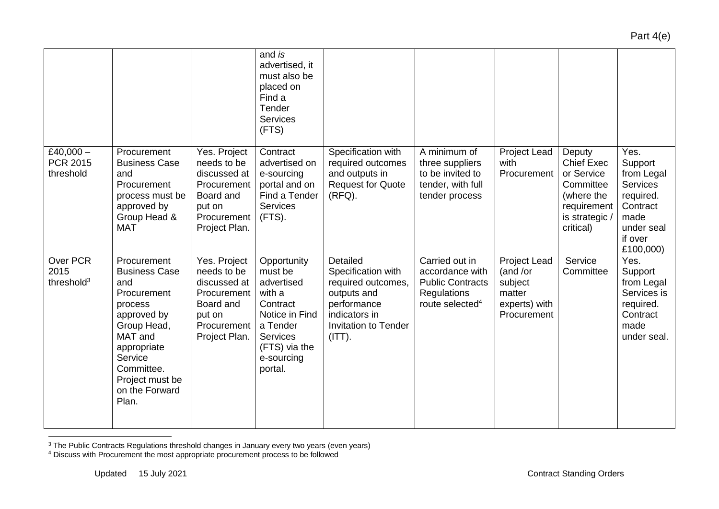#### and *is*  advertised, it must also be placed on Find a Tender **Services** (FTS) £40,000 $-$ PCR 2015 threshold Procurement Business Case and **Procurement** process must be approved by Group Head & MAT Yes. Project needs to be discussed at **Procurement** Board and put on **Procurement** Project Plan. **Contract** advertised on e-sourcing portal and on Find a Tender **Services** (FTS). Specification with required outcomes and outputs in Request for Quote  $(RFO)$ . A minimum of three suppliers to be invited to tender, with full tender process Project Lead with **Procurement** Deputy Chief Exec or Service **Committee** (where the requirement is strategic / critical) Yes. **Support** from Legal **Services** required. **Contract** made under seal if over £100,000) Over PCR 2015 threshold<sup>3</sup> **Procurement** Business Case and **Procurement** process approved by Group Head, MAT and appropriate **Service** Committee. Project must be on the Forward Plan. Yes. Project needs to be discussed at **Procurement** Board and put on **Procurement** Project Plan. **Opportunity** must be advertised with a **Contract** Notice in Find a Tender **Services** (FTS) via the e-sourcing portal. **Detailed** Specification with required outcomes, outputs and performance indicators in Invitation to Tender  $(ITT)$ . Carried out in accordance with Public Contracts **Regulations** route selected<sup>4</sup> Project Lead (and /or subject matter experts) with Procurement **Service Committee** Yes. Support from Legal Services is required. **Contract** made under seal.

 $\overline{a}$ 

<sup>&</sup>lt;sup>3</sup> The Public Contracts Regulations threshold changes in January every two years (even years)

<sup>4</sup> Discuss with Procurement the most appropriate procurement process to be followed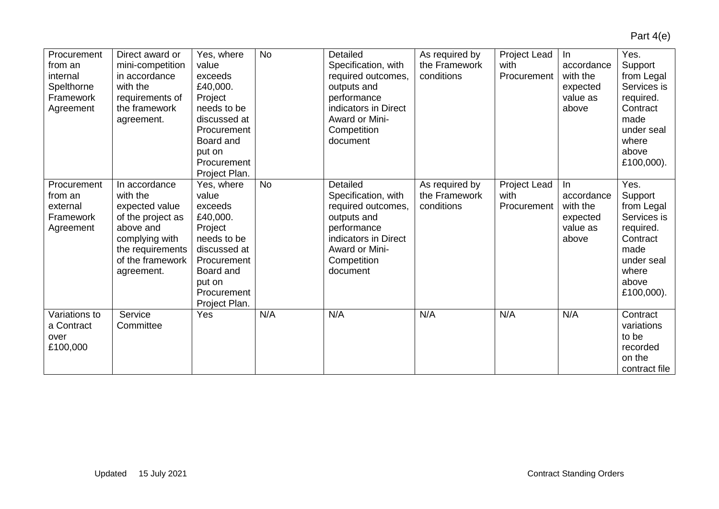| Procurement<br>from an<br>internal<br>Spelthorne<br>Framework<br>Agreement | Direct award or<br>mini-competition<br>in accordance<br>with the<br>requirements of<br>the framework<br>agreement.                                    | Yes, where<br>value<br>exceeds<br>£40,000.<br>Project<br>needs to be<br>discussed at<br>Procurement<br>Board and<br>put on<br>Procurement<br>Project Plan. | <b>No</b> | Detailed<br>Specification, with<br>required outcomes,<br>outputs and<br>performance<br>indicators in Direct<br>Award or Mini-<br>Competition<br>document | As required by<br>the Framework<br>conditions | Project Lead<br>with<br>Procurement | In<br>accordance<br>with the<br>expected<br>value as<br>above  | Yes.<br>Support<br>from Legal<br>Services is<br>required.<br>Contract<br>made<br>under seal<br>where<br>above<br>£100,000). |
|----------------------------------------------------------------------------|-------------------------------------------------------------------------------------------------------------------------------------------------------|------------------------------------------------------------------------------------------------------------------------------------------------------------|-----------|----------------------------------------------------------------------------------------------------------------------------------------------------------|-----------------------------------------------|-------------------------------------|----------------------------------------------------------------|-----------------------------------------------------------------------------------------------------------------------------|
| Procurement<br>from an<br>external<br>Framework<br>Agreement               | In accordance<br>with the<br>expected value<br>of the project as<br>above and<br>complying with<br>the requirements<br>of the framework<br>agreement. | Yes, where<br>value<br>exceeds<br>£40,000.<br>Project<br>needs to be<br>discussed at<br>Procurement<br>Board and<br>put on<br>Procurement<br>Project Plan. | <b>No</b> | Detailed<br>Specification, with<br>required outcomes,<br>outputs and<br>performance<br>indicators in Direct<br>Award or Mini-<br>Competition<br>document | As required by<br>the Framework<br>conditions | Project Lead<br>with<br>Procurement | In.<br>accordance<br>with the<br>expected<br>value as<br>above | Yes.<br>Support<br>from Legal<br>Services is<br>required.<br>Contract<br>made<br>under seal<br>where<br>above<br>£100,000). |
| Variations to<br>a Contract<br>over<br>£100,000                            | Service<br>Committee                                                                                                                                  | Yes                                                                                                                                                        | N/A       | N/A                                                                                                                                                      | N/A                                           | N/A                                 | N/A                                                            | Contract<br>variations<br>to be<br>recorded<br>on the<br>contract file                                                      |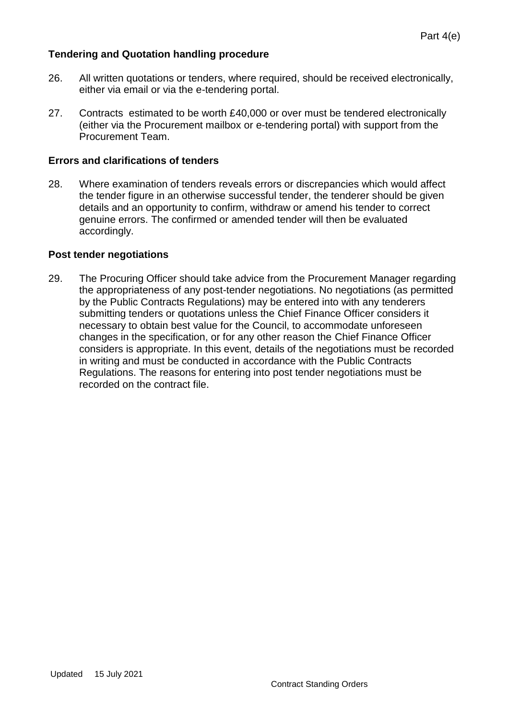# **Tendering and Quotation handling procedure**

- 26. All written quotations or tenders, where required, should be received electronically, either via email or via the e-tendering portal.
- 27. Contracts estimated to be worth £40,000 or over must be tendered electronically (either via the Procurement mailbox or e-tendering portal) with support from the Procurement Team.

# **Errors and clarifications of tenders**

28. Where examination of tenders reveals errors or discrepancies which would affect the tender figure in an otherwise successful tender, the tenderer should be given details and an opportunity to confirm, withdraw or amend his tender to correct genuine errors. The confirmed or amended tender will then be evaluated accordingly.

# **Post tender negotiations**

29. The Procuring Officer should take advice from the Procurement Manager regarding the appropriateness of any post-tender negotiations. No negotiations (as permitted by the Public Contracts Regulations) may be entered into with any tenderers submitting tenders or quotations unless the Chief Finance Officer considers it necessary to obtain best value for the Council, to accommodate unforeseen changes in the specification, or for any other reason the Chief Finance Officer considers is appropriate. In this event, details of the negotiations must be recorded in writing and must be conducted in accordance with the Public Contracts Regulations. The reasons for entering into post tender negotiations must be recorded on the contract file.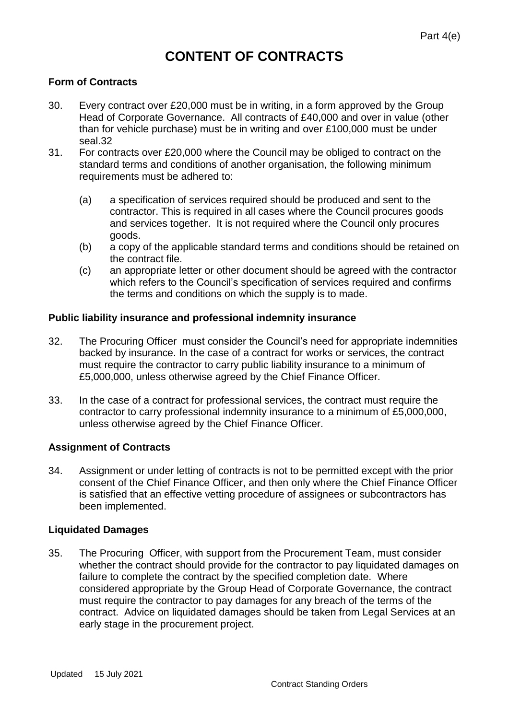# **CONTENT OF CONTRACTS**

# **Form of Contracts**

- 30. Every contract over £20,000 must be in writing, in a form approved by the Group Head of Corporate Governance. All contracts of £40,000 and over in value (other than for vehicle purchase) must be in writing and over £100,000 must be under seal.32
- 31. For contracts over £20,000 where the Council may be obliged to contract on the standard terms and conditions of another organisation, the following minimum requirements must be adhered to:
	- (a) a specification of services required should be produced and sent to the contractor. This is required in all cases where the Council procures goods and services together. It is not required where the Council only procures goods.
	- (b) a copy of the applicable standard terms and conditions should be retained on the contract file.
	- (c) an appropriate letter or other document should be agreed with the contractor which refers to the Council's specification of services required and confirms the terms and conditions on which the supply is to made.

## **Public liability insurance and professional indemnity insurance**

- 32. The Procuring Officer must consider the Council's need for appropriate indemnities backed by insurance. In the case of a contract for works or services, the contract must require the contractor to carry public liability insurance to a minimum of £5,000,000, unless otherwise agreed by the Chief Finance Officer.
- 33. In the case of a contract for professional services, the contract must require the contractor to carry professional indemnity insurance to a minimum of £5,000,000, unless otherwise agreed by the Chief Finance Officer.

# **Assignment of Contracts**

34. Assignment or under letting of contracts is not to be permitted except with the prior consent of the Chief Finance Officer, and then only where the Chief Finance Officer is satisfied that an effective vetting procedure of assignees or subcontractors has been implemented.

## **Liquidated Damages**

35. The Procuring Officer, with support from the Procurement Team, must consider whether the contract should provide for the contractor to pay liquidated damages on failure to complete the contract by the specified completion date. Where considered appropriate by the Group Head of Corporate Governance, the contract must require the contractor to pay damages for any breach of the terms of the contract. Advice on liquidated damages should be taken from Legal Services at an early stage in the procurement project.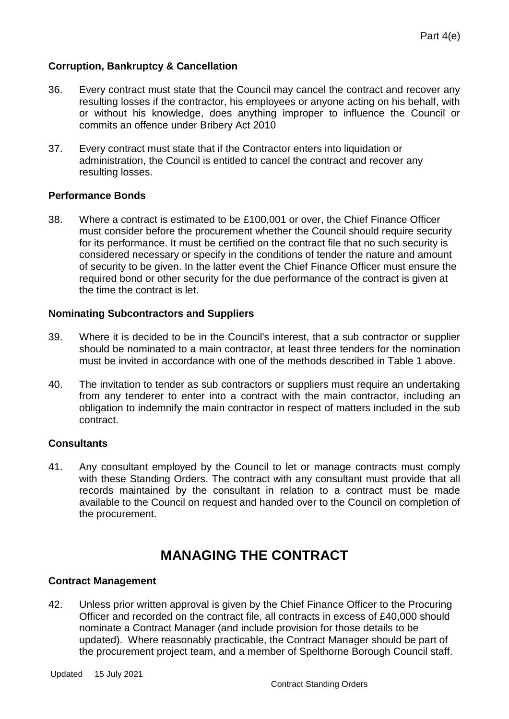# **Corruption, Bankruptcy & Cancellation**

- 36. Every contract must state that the Council may cancel the contract and recover any resulting losses if the contractor, his employees or anyone acting on his behalf, with or without his knowledge, does anything improper to influence the Council or commits an offence under Bribery Act 2010
- 37. Every contract must state that if the Contractor enters into liquidation or administration, the Council is entitled to cancel the contract and recover any resulting losses.

# **Performance Bonds**

38. Where a contract is estimated to be £100,001 or over, the Chief Finance Officer must consider before the procurement whether the Council should require security for its performance. It must be certified on the contract file that no such security is considered necessary or specify in the conditions of tender the nature and amount of security to be given. In the latter event the Chief Finance Officer must ensure the required bond or other security for the due performance of the contract is given at the time the contract is let.

# **Nominating Subcontractors and Suppliers**

- 39. Where it is decided to be in the Council's interest, that a sub contractor or supplier should be nominated to a main contractor, at least three tenders for the nomination must be invited in accordance with one of the methods described in Table 1 above.
- 40. The invitation to tender as sub contractors or suppliers must require an undertaking from any tenderer to enter into a contract with the main contractor, including an obligation to indemnify the main contractor in respect of matters included in the sub contract.

# **Consultants**

41. Any consultant employed by the Council to let or manage contracts must comply with these Standing Orders. The contract with any consultant must provide that all records maintained by the consultant in relation to a contract must be made available to the Council on request and handed over to the Council on completion of the procurement.

# **MANAGING THE CONTRACT**

## **Contract Management**

42. Unless prior written approval is given by the Chief Finance Officer to the Procuring Officer and recorded on the contract file, all contracts in excess of £40,000 should nominate a Contract Manager (and include provision for those details to be updated). Where reasonably practicable, the Contract Manager should be part of the procurement project team, and a member of Spelthorne Borough Council staff.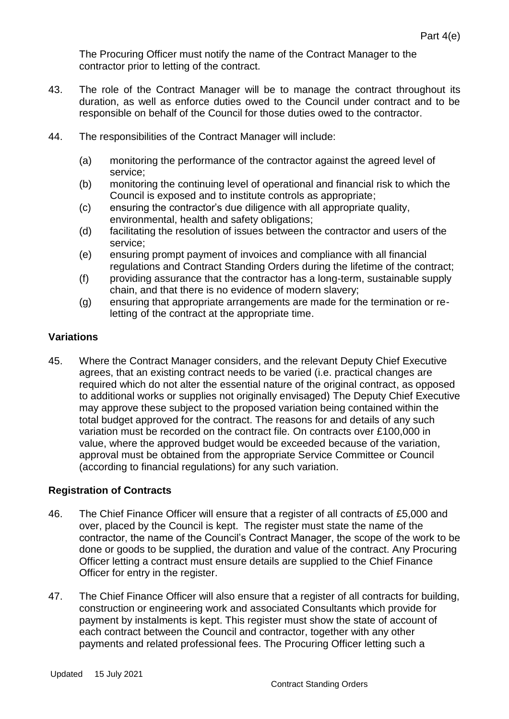The Procuring Officer must notify the name of the Contract Manager to the contractor prior to letting of the contract.

- 43. The role of the Contract Manager will be to manage the contract throughout its duration, as well as enforce duties owed to the Council under contract and to be responsible on behalf of the Council for those duties owed to the contractor.
- 44. The responsibilities of the Contract Manager will include:
	- (a) monitoring the performance of the contractor against the agreed level of service;
	- (b) monitoring the continuing level of operational and financial risk to which the Council is exposed and to institute controls as appropriate;
	- (c) ensuring the contractor's due diligence with all appropriate quality, environmental, health and safety obligations;
	- (d) facilitating the resolution of issues between the contractor and users of the service;
	- (e) ensuring prompt payment of invoices and compliance with all financial regulations and Contract Standing Orders during the lifetime of the contract;
	- (f) providing assurance that the contractor has a long-term, sustainable supply chain, and that there is no evidence of modern slavery;
	- (g) ensuring that appropriate arrangements are made for the termination or reletting of the contract at the appropriate time.

# **Variations**

45. Where the Contract Manager considers, and the relevant Deputy Chief Executive agrees, that an existing contract needs to be varied (i.e. practical changes are required which do not alter the essential nature of the original contract, as opposed to additional works or supplies not originally envisaged) The Deputy Chief Executive may approve these subject to the proposed variation being contained within the total budget approved for the contract. The reasons for and details of any such variation must be recorded on the contract file. On contracts over £100,000 in value, where the approved budget would be exceeded because of the variation, approval must be obtained from the appropriate Service Committee or Council (according to financial regulations) for any such variation.

## **Registration of Contracts**

- 46. The Chief Finance Officer will ensure that a register of all contracts of £5,000 and over, placed by the Council is kept. The register must state the name of the contractor, the name of the Council's Contract Manager, the scope of the work to be done or goods to be supplied, the duration and value of the contract. Any Procuring Officer letting a contract must ensure details are supplied to the Chief Finance Officer for entry in the register.
- 47. The Chief Finance Officer will also ensure that a register of all contracts for building, construction or engineering work and associated Consultants which provide for payment by instalments is kept. This register must show the state of account of each contract between the Council and contractor, together with any other payments and related professional fees. The Procuring Officer letting such a